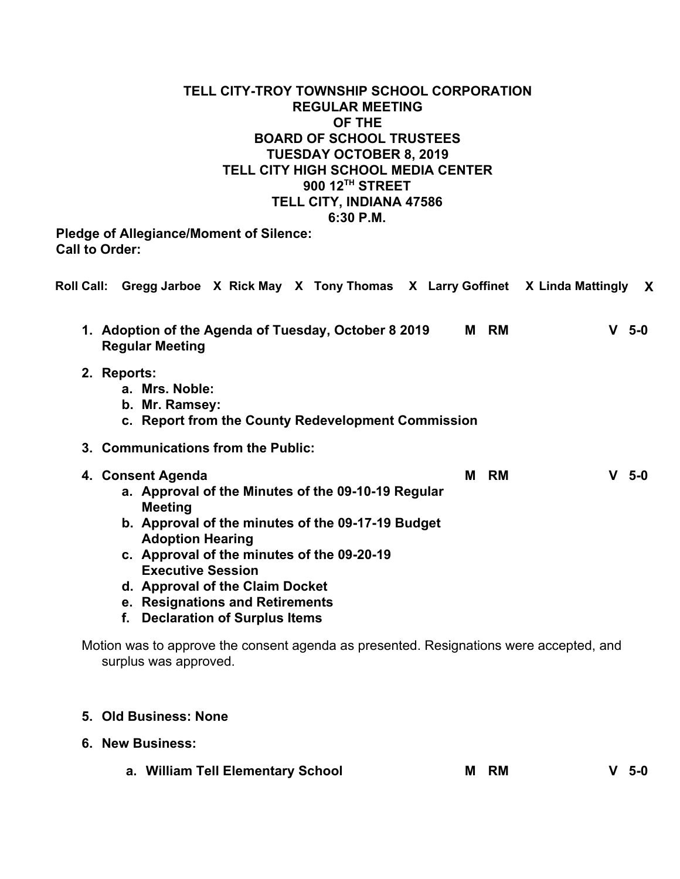# **TELL CITY-TROY TOWNSHIP SCHOOL CORPORATION REGULAR MEETING OF THE BOARD OF SCHOOL TRUSTEES TUESDAY OCTOBER 8, 2019 TELL CITY HIGH SCHOOL MEDIA CENTER 900 12TH STREET TELL CITY, INDIANA 47586 6:30 P.M.**

**Pledge of Allegiance/Moment of Silence: Call to Order:**

|                                                                                                                                                                                                                                                                                                                                                              |  |         | Roll Call: Gregg Jarboe X Rick May X Tony Thomas X Larry Goffinet X Linda Mattingly X  |
|--------------------------------------------------------------------------------------------------------------------------------------------------------------------------------------------------------------------------------------------------------------------------------------------------------------------------------------------------------------|--|---------|----------------------------------------------------------------------------------------|
| 1. Adoption of the Agenda of Tuesday, October 8 2019<br><b>Regular Meeting</b>                                                                                                                                                                                                                                                                               |  | M RM    | $V$ 5-0                                                                                |
| 2. Reports:<br>a. Mrs. Noble:<br>b. Mr. Ramsey:<br>c. Report from the County Redevelopment Commission                                                                                                                                                                                                                                                        |  |         |                                                                                        |
| 3. Communications from the Public:                                                                                                                                                                                                                                                                                                                           |  |         |                                                                                        |
| 4. Consent Agenda<br>a. Approval of the Minutes of the 09-10-19 Regular<br><b>Meeting</b><br>b. Approval of the minutes of the 09-17-19 Budget<br><b>Adoption Hearing</b><br>c. Approval of the minutes of the 09-20-19<br><b>Executive Session</b><br>d. Approval of the Claim Docket<br>e. Resignations and Retirements<br>f. Declaration of Surplus Items |  | RM<br>М | $V5-0$                                                                                 |
| surplus was approved.                                                                                                                                                                                                                                                                                                                                        |  |         | Motion was to approve the consent agenda as presented. Resignations were accepted, and |

# **5. Old Business: None**

- **6. New Business:**
	- **a. William Tell Elementary School M RM V 5-0**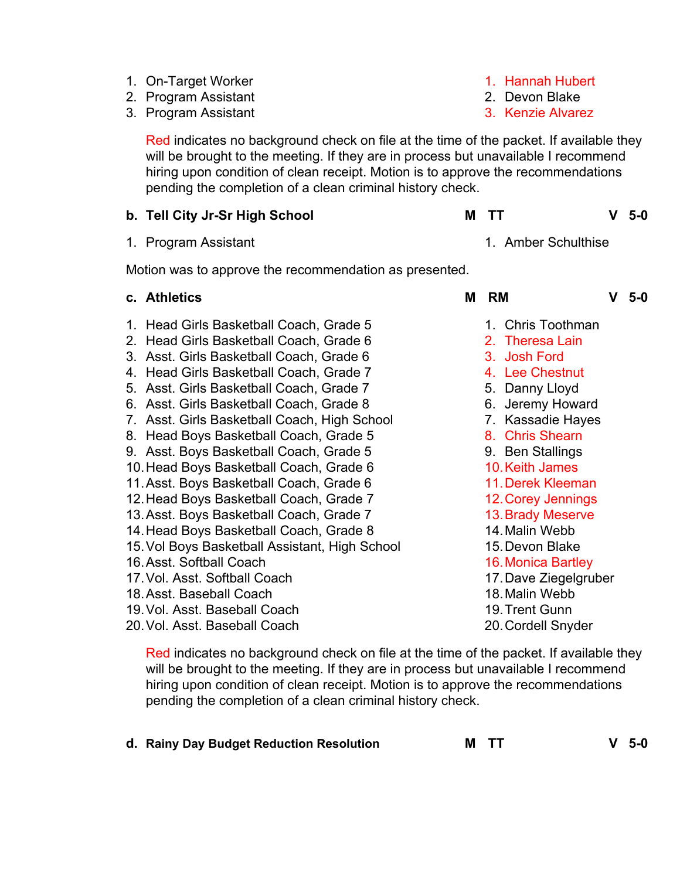- 1. On-Target Worker
- 2. Program Assistant
- 3. Program Assistant

Red indicates no background check on file at the time of the packet. If available they will be brought to the meeting. If they are in process but unavailable I recommend hiring upon condition of clean receipt. Motion is to approve the recommendations pending the completion of a clean criminal history check.

### **b. Tell City Jr-Sr High School M TT V 5-0**

1. Program Assistant 1. Amber Schulthise

Motion was to approve the recommendation as presented.

- 1. Head Girls Basketball Coach, Grade 5
- 2. Head Girls Basketball Coach, Grade 6
- 3. Asst. Girls Basketball Coach, Grade 6
- 4. Head Girls Basketball Coach, Grade 7
- 5. Asst. Girls Basketball Coach, Grade 7
- 6. Asst. Girls Basketball Coach, Grade 8
- 7. Asst. Girls Basketball Coach, High School
- 8. Head Boys Basketball Coach, Grade 5
- 9. Asst. Boys Basketball Coach, Grade 5
- 10.Head Boys Basketball Coach, Grade 6
- 11.Asst. Boys Basketball Coach, Grade 6
- 12.Head Boys Basketball Coach, Grade 7
- 13.Asst. Boys Basketball Coach, Grade 7
- 14.Head Boys Basketball Coach, Grade 8
- 15.Vol Boys Basketball Assistant, High School
- 16.Asst. Softball Coach
- 17.Vol. Asst. Softball Coach
- 18.Asst. Baseball Coach
- 19.Vol. Asst. Baseball Coach
- 20.Vol. Asst. Baseball Coach

Red indicates no background check on file at the time of the packet. If available they will be brought to the meeting. If they are in process but unavailable I recommend hiring upon condition of clean receipt. Motion is to approve the recommendations pending the completion of a clean criminal history check.

**d. Rainy Day Budget Reduction Resolution M TT V 5-0**

- 1. Hannah Hubert
- 2. Devon Blake
- 3. Kenzie Alvarez

- **c. Athletics M RM V 5-0**
	- 1. Chris Toothman
	- 2. Theresa Lain
	- 3. Josh Ford
	- 4. Lee Chestnut
	- 5. Danny Lloyd
	- 6. Jeremy Howard
	- 7. Kassadie Hayes
	- 8. Chris Shearn
	- 9. Ben Stallings
	- 10.Keith James
	- 11.Derek Kleeman
	- 12.Corey Jennings
	- 13.Brady Meserve
	- 14.Malin Webb
	- 15.Devon Blake
	- 16.Monica Bartley
	- 17.Dave Ziegelgruber
	- 18.Malin Webb
	- 19.Trent Gunn
	- 20.Cordell Snyder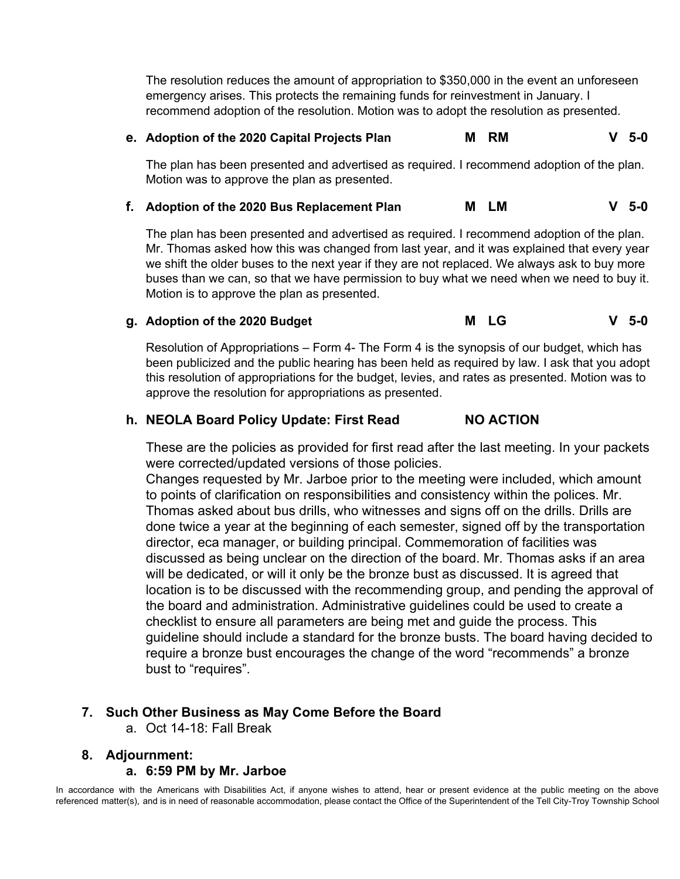The resolution reduces the amount of appropriation to \$350,000 in the event an unforeseen emergency arises. This protects the remaining funds for reinvestment in January. I recommend adoption of the resolution. Motion was to adopt the resolution as presented.

#### **e. Adoption of the 2020 Capital Projects Plan M RM V 5-0**

The plan has been presented and advertised as required. I recommend adoption of the plan. Motion was to approve the plan as presented.

### **f. Adoption of the 2020 Bus Replacement Plan M LM V 5-0**

The plan has been presented and advertised as required. I recommend adoption of the plan. Mr. Thomas asked how this was changed from last year, and it was explained that every year we shift the older buses to the next year if they are not replaced. We always ask to buy more buses than we can, so that we have permission to buy what we need when we need to buy it. Motion is to approve the plan as presented.

#### **g. Adoption of the 2020 Budget M LG V 5-0**

Resolution of Appropriations – Form 4- The Form 4 is the synopsis of our budget, which has been publicized and the public hearing has been held as required by law. I ask that you adopt this resolution of appropriations for the budget, levies, and rates as presented. Motion was to approve the resolution for appropriations as presented.

#### **h. NEOLA Board Policy Update: First Read NO ACTION**

These are the policies as provided for first read after the last meeting. In your packets were corrected/updated versions of those policies.

Changes requested by Mr. Jarboe prior to the meeting were included, which amount to points of clarification on responsibilities and consistency within the polices. Mr. Thomas asked about bus drills, who witnesses and signs off on the drills. Drills are done twice a year at the beginning of each semester, signed off by the transportation director, eca manager, or building principal. Commemoration of facilities was discussed as being unclear on the direction of the board. Mr. Thomas asks if an area will be dedicated, or will it only be the bronze bust as discussed. It is agreed that location is to be discussed with the recommending group, and pending the approval of the board and administration. Administrative guidelines could be used to create a checklist to ensure all parameters are being met and guide the process. This guideline should include a standard for the bronze busts. The board having decided to require a bronze bust encourages the change of the word "recommends" a bronze bust to "requires".

#### **7. Such Other Business as May Come Before the Board**

a. Oct 14-18: Fall Break

# **8. Adjournment:**

#### **a. 6:59 PM by Mr. Jarboe**

In accordance with the Americans with Disabilities Act, if anyone wishes to attend, hear or present evidence at the public meeting on the above referenced matter(s), and is in need of reasonable accommodation, please contact the Office of the Superintendent of the Tell City-Troy Township School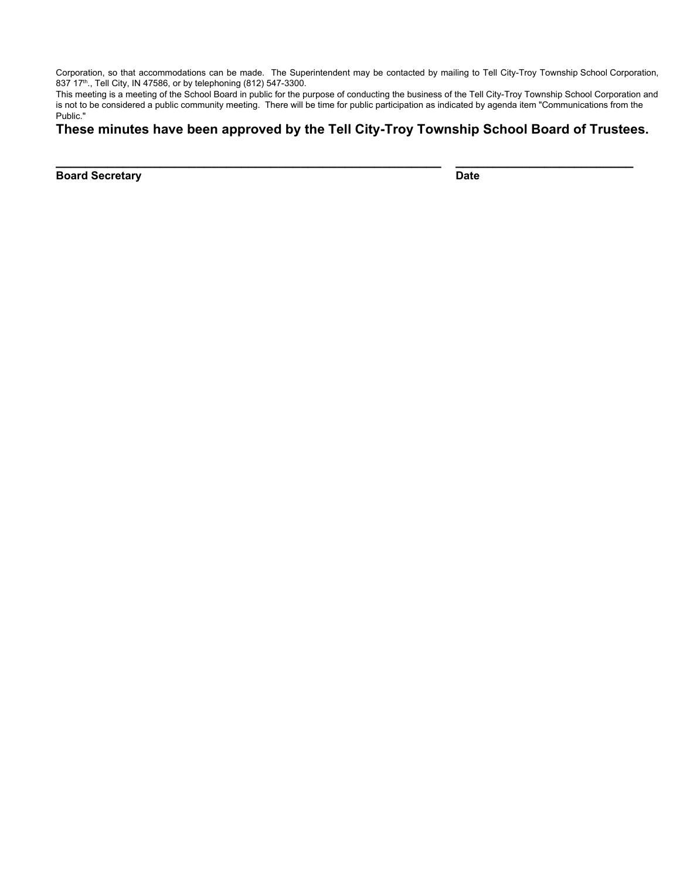Corporation, so that accommodations can be made. The Superintendent may be contacted by mailing to Tell City-Troy Township School Corporation, 837 17<sup>th</sup>., Tell City, IN 47586, or by telephoning (812) 547-3300.

This meeting is a meeting of the School Board in public for the purpose of conducting the business of the Tell City-Troy Township School Corporation and is not to be considered a public community meeting. There will be time for public participation as indicated by agenda item "Communications from the Public."

**These minutes have been approved by the Tell City-Troy Township School Board of Trustees.**

**\_\_\_\_\_\_\_\_\_\_\_\_\_\_\_\_\_\_\_\_\_\_\_\_\_\_\_\_\_\_\_\_\_\_\_\_\_\_\_\_\_\_\_\_\_\_\_\_\_\_\_\_ \_\_\_\_\_\_\_\_\_\_\_\_\_\_\_\_\_\_\_\_\_\_\_\_**

**Board Secretary Date**